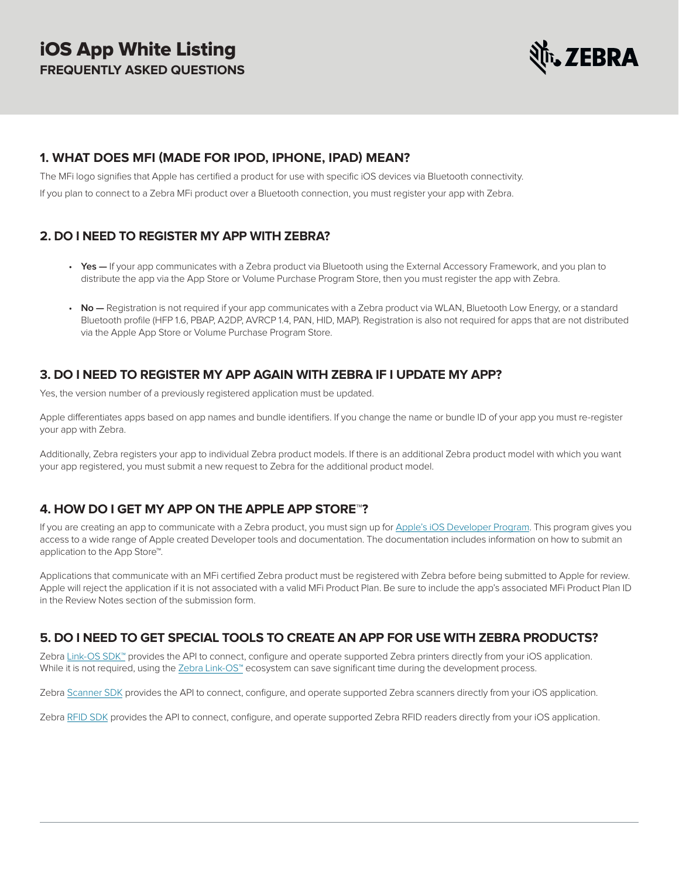

# <span id="page-0-0"></span>**1. WHAT DOES MFI (MADE FOR IPOD, IPHONE, IPAD) MEAN?**

The MFi logo signifies that Apple has certified a product for use with specific iOS devices via Bluetooth connectivity.

If you plan to connect to a Zebra MFi product over a Bluetooth connection, you must register your app with Zebra.

# **2. DO I NEED TO REGISTER MY APP WITH ZEBRA?**

- **Yes —** If your app communicates with a Zebra product via Bluetooth using the External Accessory Framework, and you plan to distribute the app via the App Store or Volume Purchase Program Store, then you must register the app with Zebra.
- **No** Registration is not required if your app communicates with a Zebra product via WLAN, Bluetooth Low Energy, or a standard Bluetooth profile (HFP 1.6, PBAP, A2DP, AVRCP 1.4, PAN, HID, MAP). Registration is also not required for apps that are not distributed via the Apple App Store or Volume Purchase Program Store.

# **3. DO I NEED TO REGISTER MY APP AGAIN WITH ZEBRA IF I UPDATE MY APP?**

Yes, the version number of a previously registered application must be updated.

Apple differentiates apps based on app names and bundle identifiers. If you change the name or bundle ID of your app you must re-register your app with Zebra.

Additionally, Zebra registers your app to individual Zebra product models. If there is an additional Zebra product model with which you want your app registered, you must submit a new request to Zebra for the additional product model.

# **4. HOW DO I GET MY APP ON THE APPLE APP STORE™?**

If you are creating an app to communicate with a Zebra product, you must sign up for [Apple's iOS Developer Program.](https://developer.apple.com/) This program gives you access to a wide range of Apple created Developer tools and documentation. The documentation includes information on how to submit an application to the App Store™.

Applications that communicate with an MFi certified Zebra product must be registered with Zebra before being submitted to Apple for review. Apple will reject the application if it is not associated with a valid MFi Product Plan. Be sure to include the app's associated MFi Product Plan ID in the Review Notes section of the submission form.

# **5. DO I NEED TO GET SPECIAL TOOLS TO CREATE AN APP FOR USE WITH ZEBRA PRODUCTS?**

Zebra [Link-OS SDK™](http://www.zebra.com/us/en/products-services/software/link-os/link-os-sdk.html) provides the API to connect, configure and operate supported Zebra printers directly from your iOS application. While it is not required, using the [Zebra Link-OS™](http://www.zebra.com/link) ecosystem can save significant time during the development process.

Zebra [Scanner SDK](https://www.zebra.com/us/en/products/software/scanning-systems/scanner-drivers-and-utilities/scanner-ios-sdk.html) provides the API to connect, configure, and operate supported Zebra scanners directly from your iOS application.

Zebra [RFID SDK](https://www.zebra.com/us/en/support-downloads/software/developer-tools/zera-rfid-sdk-for-ios.html) provides the API to connect, configure, and operate supported Zebra RFID readers directly from your iOS application.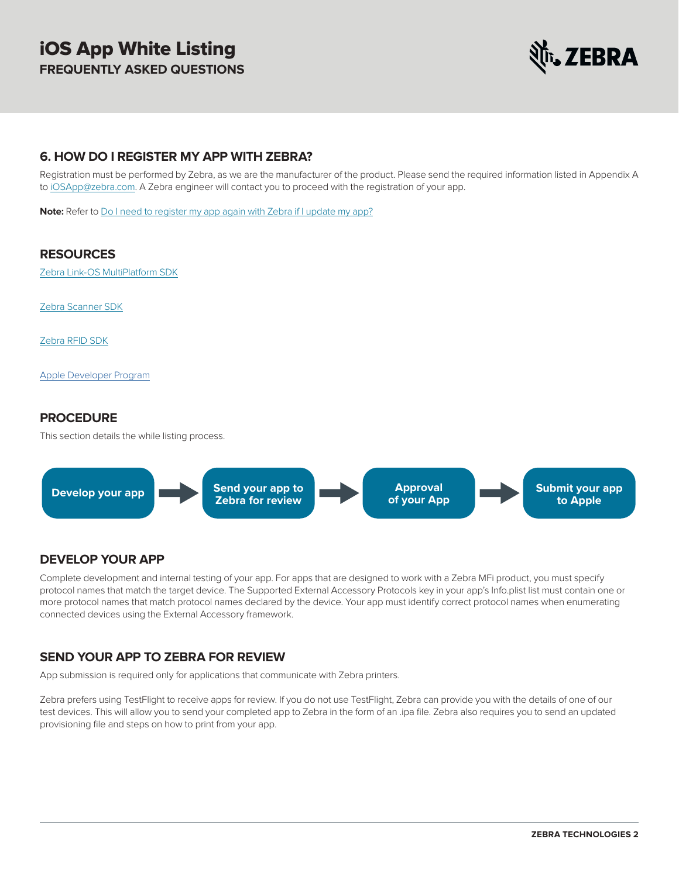

# **6. HOW DO I REGISTER MY APP WITH ZEBRA?**

Registration must be performed by Zebra, as we are the manufacturer of the product. Please send the required information listed in Appendix A to [iOSApp@zebra.com.](mailto:iOSApp@zebra.com) A Zebra engineer will contact you to proceed with the registration of your app.

**Note:** Refer to [Do I need to register my app again with Zebra if I update my app?](#page-0-0)

#### **RESOURCES**

[Zebra Link-OS MultiPlatform SDK](http://www.zebra.com/us/en/products-services/software/link-os.html)

[Zebra Scanner SDK](https://www.zebra.com/us/en/products/software/scanning-systems/scanner-drivers-and-utilities/scanner-ios-sdk.html)

[Zebra RFID SDK](https://www.zebra.com/us/en/support-downloads/software/developer-tools/zera-rfid-sdk-for-ios.html)

[Apple Developer Program](https://developer.apple.com/)

#### **PROCEDURE**

This section details the while listing process.



#### **DEVELOP YOUR APP**

Complete development and internal testing of your app. For apps that are designed to work with a Zebra MFi product, you must specify protocol names that match the target device. The Supported External Accessory Protocols key in your app's Info.plist list must contain one or more protocol names that match protocol names declared by the device. Your app must identify correct protocol names when enumerating connected devices using the External Accessory framework.

# **SEND YOUR APP TO ZEBRA FOR REVIEW**

App submission is required only for applications that communicate with Zebra printers.

Zebra prefers using TestFlight to receive apps for review. If you do not use TestFlight, Zebra can provide you with the details of one of our test devices. This will allow you to send your completed app to Zebra in the form of an .ipa file. Zebra also requires you to send an updated provisioning file and steps on how to print from your app.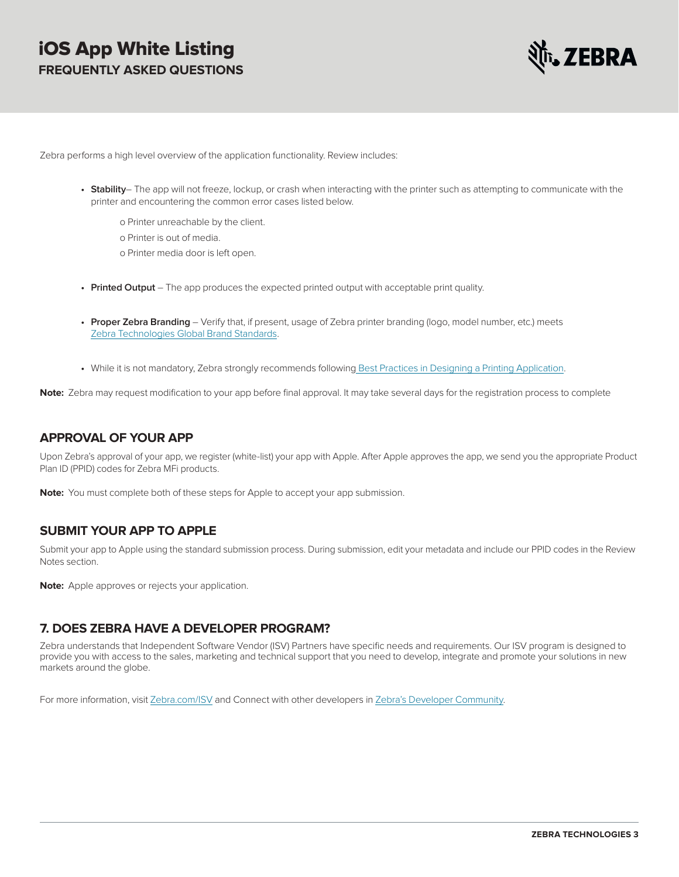

Zebra performs a high level overview of the application functionality. Review includes:

- **• Stability** The app will not freeze, lockup, or crash when interacting with the printer such as attempting to communicate with the printer and encountering the common error cases listed below.
	- o Printer unreachable by the client.
	- o Printer is out of media.
	- o Printer media door is left open.
- **• Printed Output** The app produces the expected printed output with acceptable print quality.
- **• Proper Zebra Branding**  Verify that, if present, usage of Zebra printer branding (logo, model number, etc.) meets [Zebra Technologies Global Brand Standards.](https://www.zebra.com/us/en/design.html)
- **•** While it is not mandatory, Zebra strongly recommends followin[g Best Practices in Designing a Printing Application.](https://km.zebra.com/kb/index?page=content&id=WH144)

**Note:** Zebra may request modification to your app before final approval. It may take several days for the registration process to complete

#### **APPROVAL OF YOUR APP**

Upon Zebra's approval of your app, we register (white-list) your app with Apple. After Apple approves the app, we send you the appropriate Product Plan ID (PPID) codes for Zebra MFi products.

**Note:** You must complete both of these steps for Apple to accept your app submission.

#### **SUBMIT YOUR APP TO APPLE**

Submit your app to Apple using the standard submission process. During submission, edit your metadata and include our PPID codes in the Review Notes section.

**Note:** Apple approves or rejects your application.

#### **7. DOES ZEBRA HAVE A DEVELOPER PROGRAM?**

Zebra understands that Independent Software Vendor (ISV) Partners have specific needs and requirements. Our ISV program is designed to provide you with access to the sales, marketing and technical support that you need to develop, integrate and promote your solutions in new markets around the globe.

For more information, visit [Zebra.com/ISV](http://www.zebra.com/ISV) and Connect with other developers in [Zebra's Developer Community.](http://developer.zebra.com/)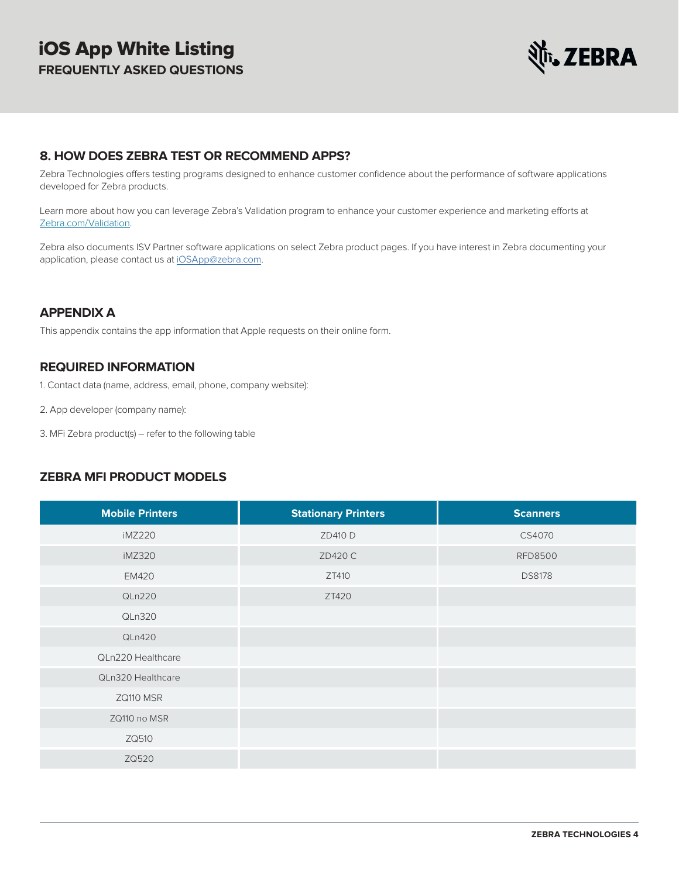

# **8. HOW DOES ZEBRA TEST OR RECOMMEND APPS?**

Zebra Technologies offers testing programs designed to enhance customer confidence about the performance of software applications developed for Zebra products.

Learn more about how you can leverage Zebra's Validation program to enhance your customer experience and marketing efforts at [Zebra.com/Validation](http://zebra.com/validation).

Zebra also documents ISV Partner software applications on select Zebra product pages. If you have interest in Zebra documenting your application, please contact us at [iOSApp@zebra.com](mailto:iOSApp@zebra.com).

# **APPENDIX A**

This appendix contains the app information that Apple requests on their online form.

# **REQUIRED INFORMATION**

1. Contact data (name, address, email, phone, company website):

- 2. App developer (company name):
- 3. MFi Zebra product(s) refer to the following table

# **ZEBRA MFI PRODUCT MODELS**

| <b>Mobile Printers</b> | <b>Stationary Printers</b> | <b>Scanners</b> |
|------------------------|----------------------------|-----------------|
| iMZ220                 | ZD410 D                    | CS4070          |
| iMZ320                 | ZD420 C                    | <b>RFD8500</b>  |
| <b>EM420</b>           | ZT410                      | <b>DS8178</b>   |
| QLn220                 | ZT420                      |                 |
| QLn320                 |                            |                 |
| QLn420                 |                            |                 |
| QLn220 Healthcare      |                            |                 |
| QLn320 Healthcare      |                            |                 |
| ZQ110 MSR              |                            |                 |
| ZQ110 no MSR           |                            |                 |
| ZQ510                  |                            |                 |
| ZQ520                  |                            |                 |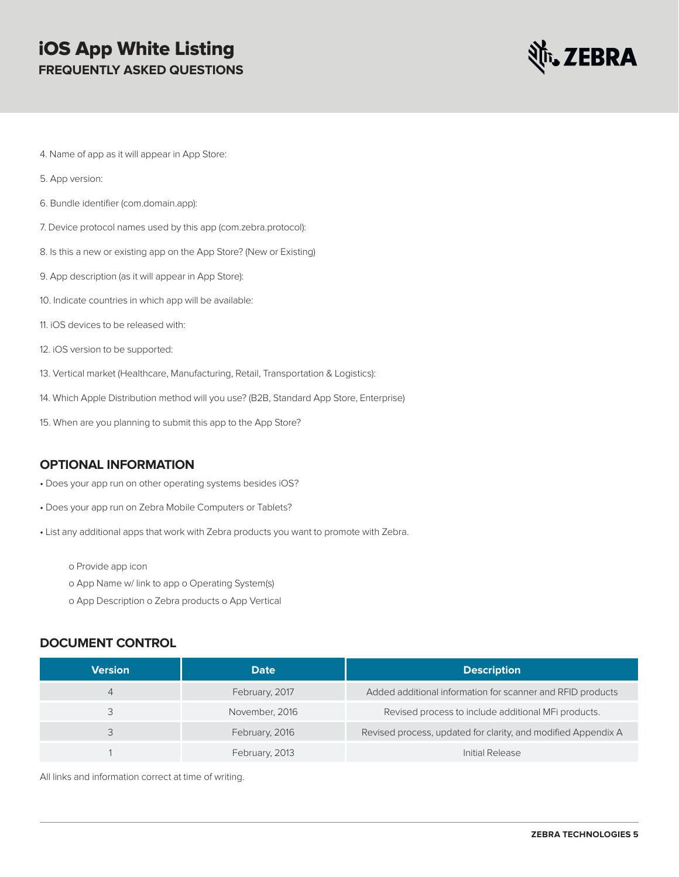# iOS App White Listing **FREQUENTLY ASKED QUESTIONS**



- 4. Name of app as it will appear in App Store:
- 5. App version:
- 6. Bundle identifier (com.domain.app):
- 7. Device protocol names used by this app (com.zebra.protocol):
- 8. Is this a new or existing app on the App Store? (New or Existing)
- 9. App description (as it will appear in App Store):
- 10. Indicate countries in which app will be available:
- 11. iOS devices to be released with:
- 12. iOS version to be supported:
- 13. Vertical market (Healthcare, Manufacturing, Retail, Transportation & Logistics):
- 14. Which Apple Distribution method will you use? (B2B, Standard App Store, Enterprise)
- 15. When are you planning to submit this app to the App Store?

#### **OPTIONAL INFORMATION**

- Does your app run on other operating systems besides iOS?
- Does your app run on Zebra Mobile Computers or Tablets?
- List any additional apps that work with Zebra products you want to promote with Zebra.
	- o Provide app icon
	- o App Name w/ link to app o Operating System(s)
	- o App Description o Zebra products o App Vertical

#### **DOCUMENT CONTROL**

| <b>Version</b> | <b>Date</b>    | <b>Description</b>                                            |
|----------------|----------------|---------------------------------------------------------------|
| 4              | February, 2017 | Added additional information for scanner and RFID products    |
|                | November, 2016 | Revised process to include additional MFi products.           |
|                | February, 2016 | Revised process, updated for clarity, and modified Appendix A |
|                | February, 2013 | Initial Release                                               |

All links and information correct at time of writing.